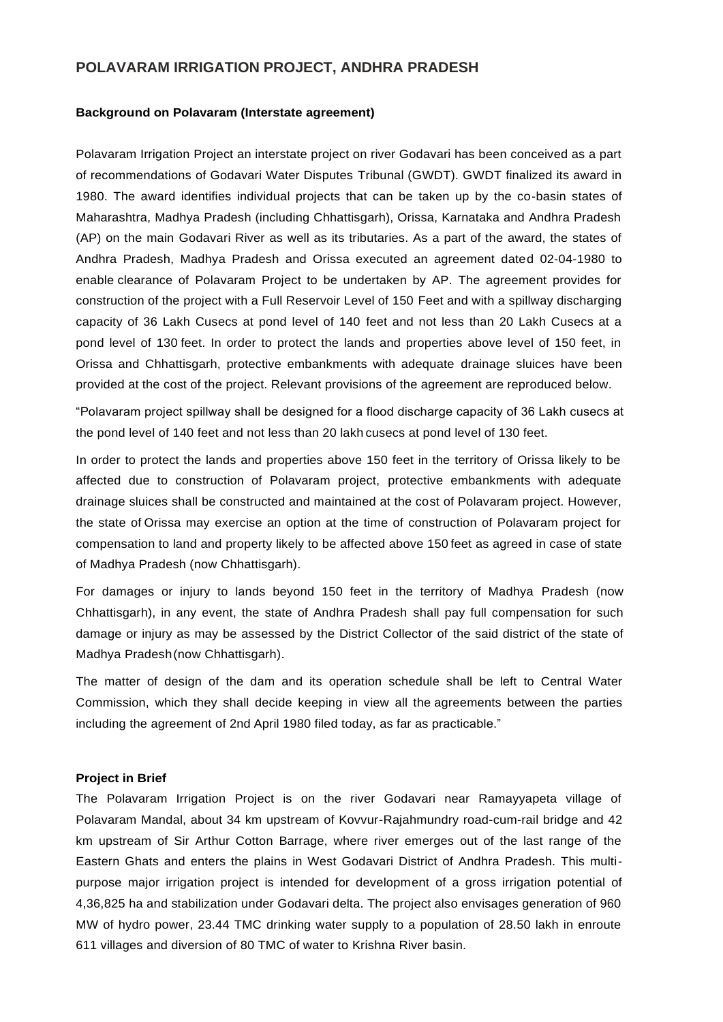# **POLAVARAM IRRIGATION PROJECT, ANDHRA PRADESH**

### **Background on Polavaram (Interstate agreement)**

Polavaram Irrigation Project an interstate project on river Godavari has been conceived as a part of recommendations of Godavari Water Disputes Tribunal (GWDT). GWDT finalized its award in 1980. The award identifies individual projects that can be taken up by the co-basin states of Maharashtra, Madhya Pradesh (including Chhattisgarh), Orissa, Karnataka and Andhra Pradesh (AP) on the main Godavari River as well as its tributaries. As a part of the award, the states of Andhra Pradesh, Madhya Pradesh and Orissa executed an agreement dated 02-04-1980 to enable clearance of Polavaram Project to be undertaken by AP. The agreement provides for construction of the project with a Full Reservoir Level of 150 Feet and with a spillway discharging capacity of 36 Lakh Cusecs at pond level of 140 feet and not less than 20 Lakh Cusecs at a pond level of 130 feet. In order to protect the lands and properties above level of 150 feet, in Orissa and Chhattisgarh, protective embankments with adequate drainage sluices have been provided at the cost of the project. Relevant provisions of the agreement are reproduced below.

"Polavaram project spillway shall be designed for a flood discharge capacity of 36 Lakh cusecs at the pond level of 140 feet and not less than 20 lakh cusecs at pond level of 130 feet.

In order to protect the lands and properties above 150 feet in the territory of Orissa likely to be affected due to construction of Polavaram project, protective embankments with adequate drainage sluices shall be constructed and maintained at the cost of Polavaram project. However, the state of Orissa may exercise an option at the time of construction of Polavaram project for compensation to land and property likely to be affected above 150 feet as agreed in case of state of Madhya Pradesh (now Chhattisgarh).

For damages or injury to lands beyond 150 feet in the territory of Madhya Pradesh (now Chhattisgarh), in any event, the state of Andhra Pradesh shall pay full compensation for such damage or injury as may be assessed by the District Collector of the said district of the state of Madhya Pradesh(now Chhattisgarh).

The matter of design of the dam and its operation schedule shall be left to Central Water Commission, which they shall decide keeping in view all the agreements between the parties including the agreement of 2nd April 1980 filed today, as far as practicable."

## **Project in Brief**

The Polavaram Irrigation Project is on the river Godavari near Ramayyapeta village of Polavaram Mandal, about 34 km upstream of Kovvur-Rajahmundry road-cum-rail bridge and 42 km upstream of Sir Arthur Cotton Barrage, where river emerges out of the last range of the Eastern Ghats and enters the plains in West Godavari District of Andhra Pradesh. This multipurpose major irrigation project is intended for development of a gross irrigation potential of 4,36,825 ha and stabilization under Godavari delta. The project also envisages generation of 960 MW of hydro power, 23.44 TMC drinking water supply to a population of 28.50 lakh in enroute 611 villages and diversion of 80 TMC of water to Krishna River basin.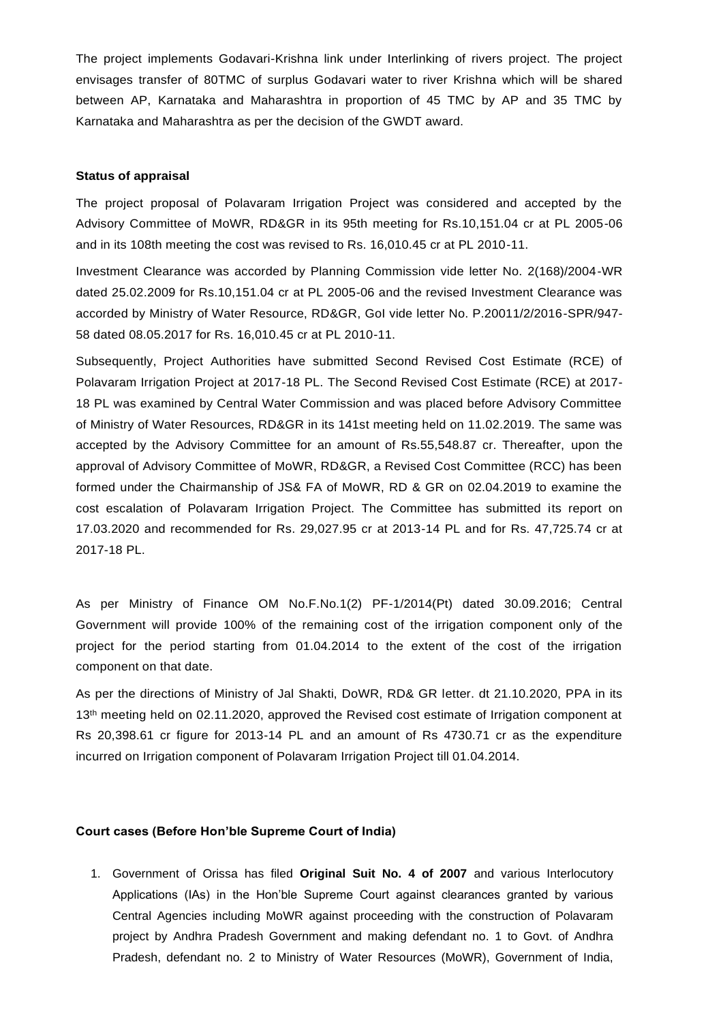The project implements Godavari-Krishna link under Interlinking of rivers project. The project envisages transfer of 80TMC of surplus Godavari water to river Krishna which will be shared between AP, Karnataka and Maharashtra in proportion of 45 TMC by AP and 35 TMC by Karnataka and Maharashtra as per the decision of the GWDT award.

### **Status of appraisal**

The project proposal of Polavaram Irrigation Project was considered and accepted by the Advisory Committee of MoWR, RD&GR in its 95th meeting for Rs.10,151.04 cr at PL 2005-06 and in its 108th meeting the cost was revised to Rs. 16,010.45 cr at PL 2010-11.

Investment Clearance was accorded by Planning Commission vide letter No. 2(168)/2004-WR dated 25.02.2009 for Rs.10,151.04 cr at PL 2005-06 and the revised Investment Clearance was accorded by Ministry of Water Resource, RD&GR, GoI vide letter No. P.20011/2/2016-SPR/947- 58 dated 08.05.2017 for Rs. 16,010.45 cr at PL 2010-11.

Subsequently, Project Authorities have submitted Second Revised Cost Estimate (RCE) of Polavaram Irrigation Project at 2017-18 PL. The Second Revised Cost Estimate (RCE) at 2017- 18 PL was examined by Central Water Commission and was placed before Advisory Committee of Ministry of Water Resources, RD&GR in its 141st meeting held on 11.02.2019. The same was accepted by the Advisory Committee for an amount of Rs.55,548.87 cr. Thereafter, upon the approval of Advisory Committee of MoWR, RD&GR, a Revised Cost Committee (RCC) has been formed under the Chairmanship of JS& FA of MoWR, RD & GR on 02.04.2019 to examine the cost escalation of Polavaram Irrigation Project. The Committee has submitted its report on 17.03.2020 and recommended for Rs. 29,027.95 cr at 2013-14 PL and for Rs. 47,725.74 cr at 2017-18 PL.

As per Ministry of Finance OM No.F.No.1(2) PF-1/2014(Pt) dated 30.09.2016; Central Government will provide 100% of the remaining cost of the irrigation component only of the project for the period starting from 01.04.2014 to the extent of the cost of the irrigation component on that date.

As per the directions of Ministry of Jal Shakti, DoWR, RD& GR letter. dt 21.10.2020, PPA in its 13<sup>th</sup> meeting held on 02.11.2020, approved the Revised cost estimate of Irrigation component at Rs 20,398.61 cr figure for 2013-14 PL and an amount of Rs 4730.71 cr as the expenditure incurred on Irrigation component of Polavaram Irrigation Project till 01.04.2014.

#### **Court cases (Before Hon'ble Supreme Court of India)**

1. Government of Orissa has filed **Original Suit No. 4 of 2007** and various Interlocutory Applications (IAs) in the Hon'ble Supreme Court against clearances granted by various Central Agencies including MoWR against proceeding with the construction of Polavaram project by Andhra Pradesh Government and making defendant no. 1 to Govt. of Andhra Pradesh, defendant no. 2 to Ministry of Water Resources (MoWR), Government of India,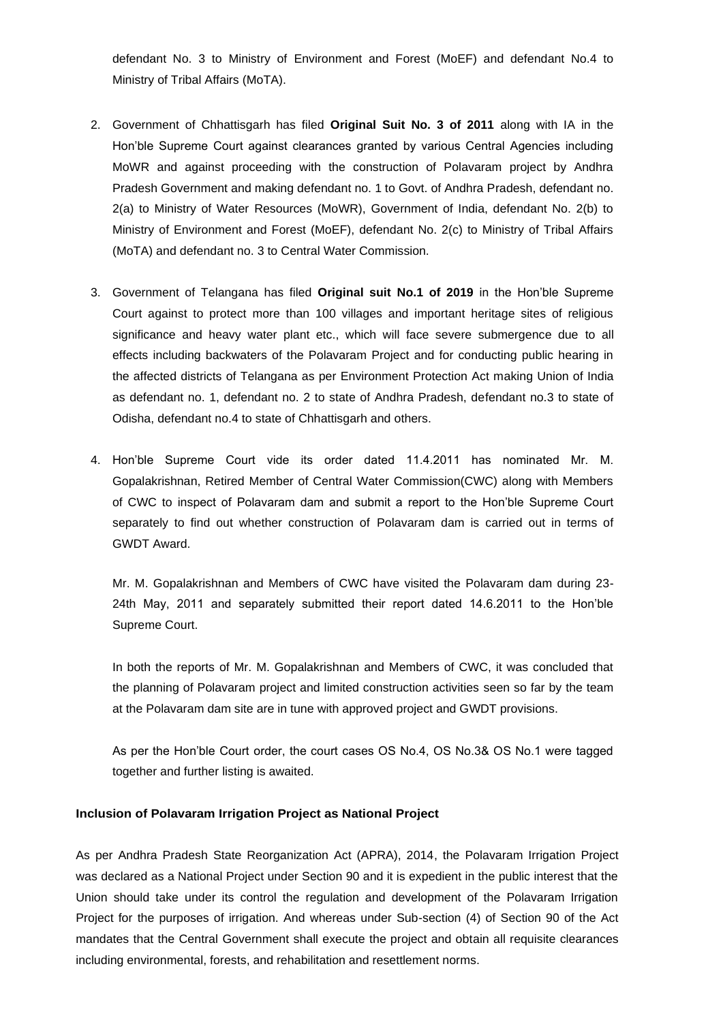defendant No. 3 to Ministry of Environment and Forest (MoEF) and defendant No.4 to Ministry of Tribal Affairs (MoTA).

- 2. Government of Chhattisgarh has filed **Original Suit No. 3 of 2011** along with IA in the Hon'ble Supreme Court against clearances granted by various Central Agencies including MoWR and against proceeding with the construction of Polavaram project by Andhra Pradesh Government and making defendant no. 1 to Govt. of Andhra Pradesh, defendant no. 2(a) to Ministry of Water Resources (MoWR), Government of India, defendant No. 2(b) to Ministry of Environment and Forest (MoEF), defendant No. 2(c) to Ministry of Tribal Affairs (MoTA) and defendant no. 3 to Central Water Commission.
- 3. Government of Telangana has filed **Original suit No.1 of 2019** in the Hon'ble Supreme Court against to protect more than 100 villages and important heritage sites of religious significance and heavy water plant etc., which will face severe submergence due to all effects including backwaters of the Polavaram Project and for conducting public hearing in the affected districts of Telangana as per Environment Protection Act making Union of India as defendant no. 1, defendant no. 2 to state of Andhra Pradesh, defendant no.3 to state of Odisha, defendant no.4 to state of Chhattisgarh and others.
- 4. Hon'ble Supreme Court vide its order dated 11.4.2011 has nominated Mr. M. Gopalakrishnan, Retired Member of Central Water Commission(CWC) along with Members of CWC to inspect of Polavaram dam and submit a report to the Hon'ble Supreme Court separately to find out whether construction of Polavaram dam is carried out in terms of GWDT Award.

Mr. M. Gopalakrishnan and Members of CWC have visited the Polavaram dam during 23- 24th May, 2011 and separately submitted their report dated 14.6.2011 to the Hon'ble Supreme Court.

In both the reports of Mr. M. Gopalakrishnan and Members of CWC, it was concluded that the planning of Polavaram project and limited construction activities seen so far by the team at the Polavaram dam site are in tune with approved project and GWDT provisions.

As per the Hon'ble Court order, the court cases OS No.4, OS No.3& OS No.1 were tagged together and further listing is awaited.

### **Inclusion of Polavaram Irrigation Project as National Project**

As per Andhra Pradesh State Reorganization Act (APRA), 2014, the Polavaram Irrigation Project was declared as a National Project under Section 90 and it is expedient in the public interest that the Union should take under its control the regulation and development of the Polavaram Irrigation Project for the purposes of irrigation. And whereas under Sub-section (4) of Section 90 of the Act mandates that the Central Government shall execute the project and obtain all requisite clearances including environmental, forests, and rehabilitation and resettlement norms.